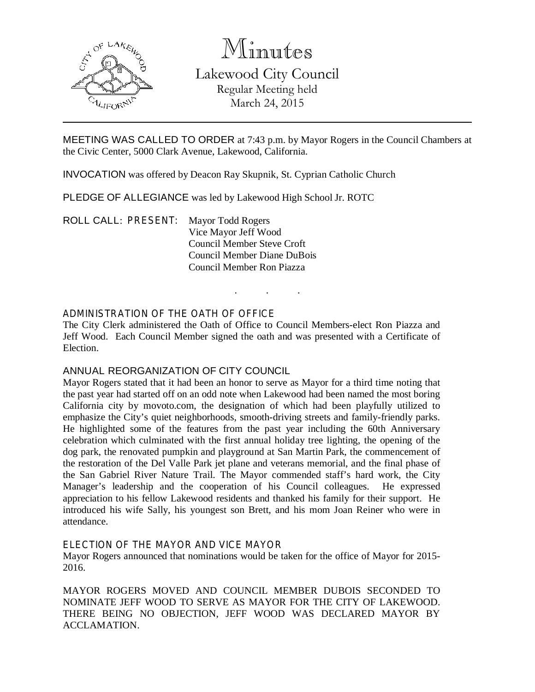

Minutes Lakewood City Council Regular Meeting held March 24, 2015

MEETING WAS CALLED TO ORDER at 7:43 p.m. by Mayor Rogers in the Council Chambers at the Civic Center, 5000 Clark Avenue, Lakewood, California.

INVOCATION was offered by Deacon Ray Skupnik, St. Cyprian Catholic Church

PLEDGE OF ALLEGIANCE was led by Lakewood High School Jr. ROTC

ROLL CALL: PRESENT: Mayor Todd Rogers Vice Mayor Jeff Wood Council Member Steve Croft Council Member Diane DuBois Council Member Ron Piazza

### ADMINISTRATION OF THE OATH OF OFFICE

The City Clerk administered the Oath of Office to Council Members-elect Ron Piazza and Jeff Wood. Each Council Member signed the oath and was presented with a Certificate of Election.

. . .

### ANNUAL REORGANIZATION OF CITY COUNCIL

Mayor Rogers stated that it had been an honor to serve as Mayor for a third time noting that the past year had started off on an odd note when Lakewood had been named the most boring California city by movoto.com, the designation of which had been playfully utilized to emphasize the City's quiet neighborhoods, smooth-driving streets and family-friendly parks. He highlighted some of the features from the past year including the 60th Anniversary celebration which culminated with the first annual holiday tree lighting, the opening of the dog park, the renovated pumpkin and playground at San Martin Park, the commencement of the restoration of the Del Valle Park jet plane and veterans memorial, and the final phase of the San Gabriel River Nature Trail. The Mayor commended staff's hard work, the City Manager's leadership and the cooperation of his Council colleagues. He expressed appreciation to his fellow Lakewood residents and thanked his family for their support. He introduced his wife Sally, his youngest son Brett, and his mom Joan Reiner who were in attendance.

#### ELECTION OF THE MAYOR AND VICE MAYOR

Mayor Rogers announced that nominations would be taken for the office of Mayor for 2015- 2016.

MAYOR ROGERS MOVED AND COUNCIL MEMBER DUBOIS SECONDED TO NOMINATE JEFF WOOD TO SERVE AS MAYOR FOR THE CITY OF LAKEWOOD. THERE BEING NO OBJECTION, JEFF WOOD WAS DECLARED MAYOR BY ACCLAMATION.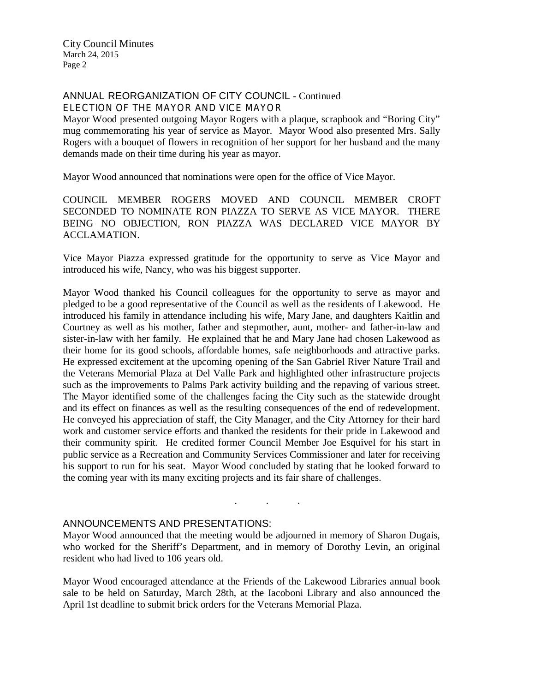# ANNUAL REORGANIZATION OF CITY COUNCIL - Continued ELECTION OF THE MAYOR AND VICE MAYOR

Mayor Wood presented outgoing Mayor Rogers with a plaque, scrapbook and "Boring City" mug commemorating his year of service as Mayor. Mayor Wood also presented Mrs. Sally Rogers with a bouquet of flowers in recognition of her support for her husband and the many demands made on their time during his year as mayor.

Mayor Wood announced that nominations were open for the office of Vice Mayor.

COUNCIL MEMBER ROGERS MOVED AND COUNCIL MEMBER CROFT SECONDED TO NOMINATE RON PIAZZA TO SERVE AS VICE MAYOR. THERE BEING NO OBJECTION, RON PIAZZA WAS DECLARED VICE MAYOR BY ACCLAMATION.

Vice Mayor Piazza expressed gratitude for the opportunity to serve as Vice Mayor and introduced his wife, Nancy, who was his biggest supporter.

Mayor Wood thanked his Council colleagues for the opportunity to serve as mayor and pledged to be a good representative of the Council as well as the residents of Lakewood. He introduced his family in attendance including his wife, Mary Jane, and daughters Kaitlin and Courtney as well as his mother, father and stepmother, aunt, mother- and father-in-law and sister-in-law with her family. He explained that he and Mary Jane had chosen Lakewood as their home for its good schools, affordable homes, safe neighborhoods and attractive parks. He expressed excitement at the upcoming opening of the San Gabriel River Nature Trail and the Veterans Memorial Plaza at Del Valle Park and highlighted other infrastructure projects such as the improvements to Palms Park activity building and the repaving of various street. The Mayor identified some of the challenges facing the City such as the statewide drought and its effect on finances as well as the resulting consequences of the end of redevelopment. He conveyed his appreciation of staff, the City Manager, and the City Attorney for their hard work and customer service efforts and thanked the residents for their pride in Lakewood and their community spirit. He credited former Council Member Joe Esquivel for his start in public service as a Recreation and Community Services Commissioner and later for receiving his support to run for his seat. Mayor Wood concluded by stating that he looked forward to the coming year with its many exciting projects and its fair share of challenges.

#### ANNOUNCEMENTS AND PRESENTATIONS:

Mayor Wood announced that the meeting would be adjourned in memory of Sharon Dugais, who worked for the Sheriff's Department, and in memory of Dorothy Levin, an original resident who had lived to 106 years old.

. . .

Mayor Wood encouraged attendance at the Friends of the Lakewood Libraries annual book sale to be held on Saturday, March 28th, at the Iacoboni Library and also announced the April 1st deadline to submit brick orders for the Veterans Memorial Plaza.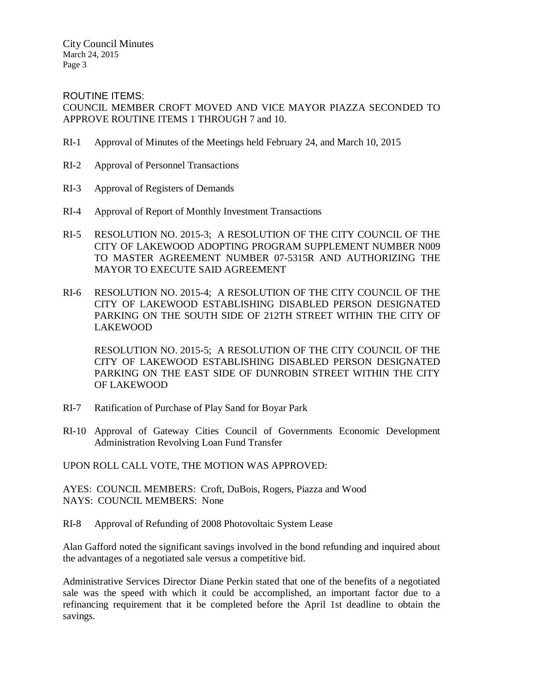ROUTINE ITEMS: COUNCIL MEMBER CROFT MOVED AND VICE MAYOR PIAZZA SECONDED TO APPROVE ROUTINE ITEMS 1 THROUGH 7 and 10.

- RI-1 Approval of Minutes of the Meetings held February 24, and March 10, 2015
- RI-2 Approval of Personnel Transactions
- RI-3 Approval of Registers of Demands
- RI-4 Approval of Report of Monthly Investment Transactions
- RI-5 RESOLUTION NO. 2015-3; A RESOLUTION OF THE CITY COUNCIL OF THE CITY OF LAKEWOOD ADOPTING PROGRAM SUPPLEMENT NUMBER N009 TO MASTER AGREEMENT NUMBER 07-5315R AND AUTHORIZING THE MAYOR TO EXECUTE SAID AGREEMENT
- RI-6 RESOLUTION NO. 2015-4; A RESOLUTION OF THE CITY COUNCIL OF THE CITY OF LAKEWOOD ESTABLISHING DISABLED PERSON DESIGNATED PARKING ON THE SOUTH SIDE OF 212TH STREET WITHIN THE CITY OF LAKEWOOD

RESOLUTION NO. 2015-5; A RESOLUTION OF THE CITY COUNCIL OF THE CITY OF LAKEWOOD ESTABLISHING DISABLED PERSON DESIGNATED PARKING ON THE EAST SIDE OF DUNROBIN STREET WITHIN THE CITY OF LAKEWOOD

- RI-7 Ratification of Purchase of Play Sand for Boyar Park
- RI-10 Approval of Gateway Cities Council of Governments Economic Development Administration Revolving Loan Fund Transfer

UPON ROLL CALL VOTE, THE MOTION WAS APPROVED:

AYES: COUNCIL MEMBERS: Croft, DuBois, Rogers, Piazza and Wood NAYS: COUNCIL MEMBERS: None

RI-8 Approval of Refunding of 2008 Photovoltaic System Lease

Alan Gafford noted the significant savings involved in the bond refunding and inquired about the advantages of a negotiated sale versus a competitive bid.

Administrative Services Director Diane Perkin stated that one of the benefits of a negotiated sale was the speed with which it could be accomplished, an important factor due to a refinancing requirement that it be completed before the April 1st deadline to obtain the savings.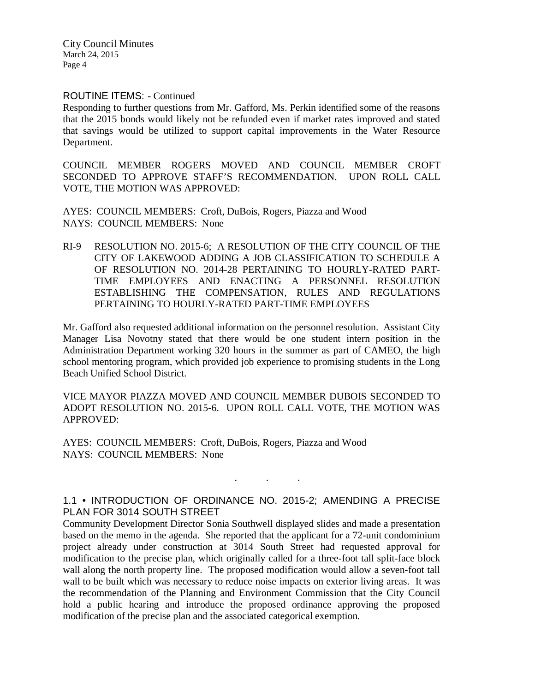#### ROUTINE ITEMS: - Continued

Responding to further questions from Mr. Gafford, Ms. Perkin identified some of the reasons that the 2015 bonds would likely not be refunded even if market rates improved and stated that savings would be utilized to support capital improvements in the Water Resource Department.

COUNCIL MEMBER ROGERS MOVED AND COUNCIL MEMBER CROFT SECONDED TO APPROVE STAFF'S RECOMMENDATION. UPON ROLL CALL VOTE, THE MOTION WAS APPROVED:

AYES: COUNCIL MEMBERS: Croft, DuBois, Rogers, Piazza and Wood NAYS: COUNCIL MEMBERS: None

RI-9 RESOLUTION NO. 2015-6; A RESOLUTION OF THE CITY COUNCIL OF THE CITY OF LAKEWOOD ADDING A JOB CLASSIFICATION TO SCHEDULE A OF RESOLUTION NO. 2014-28 PERTAINING TO HOURLY-RATED PART-TIME EMPLOYEES AND ENACTING A PERSONNEL RESOLUTION ESTABLISHING THE COMPENSATION, RULES AND REGULATIONS PERTAINING TO HOURLY-RATED PART-TIME EMPLOYEES

Mr. Gafford also requested additional information on the personnel resolution. Assistant City Manager Lisa Novotny stated that there would be one student intern position in the Administration Department working 320 hours in the summer as part of CAMEO, the high school mentoring program, which provided job experience to promising students in the Long Beach Unified School District.

VICE MAYOR PIAZZA MOVED AND COUNCIL MEMBER DUBOIS SECONDED TO ADOPT RESOLUTION NO. 2015-6. UPON ROLL CALL VOTE, THE MOTION WAS APPROVED:

AYES: COUNCIL MEMBERS: Croft, DuBois, Rogers, Piazza and Wood NAYS: COUNCIL MEMBERS: None

# 1.1 • INTRODUCTION OF ORDINANCE NO. 2015-2; AMENDING A PRECISE PLAN FOR 3014 SOUTH STREET

. . .

Community Development Director Sonia Southwell displayed slides and made a presentation based on the memo in the agenda. She reported that the applicant for a 72-unit condominium project already under construction at 3014 South Street had requested approval for modification to the precise plan, which originally called for a three-foot tall split-face block wall along the north property line. The proposed modification would allow a seven-foot tall wall to be built which was necessary to reduce noise impacts on exterior living areas. It was the recommendation of the Planning and Environment Commission that the City Council hold a public hearing and introduce the proposed ordinance approving the proposed modification of the precise plan and the associated categorical exemption.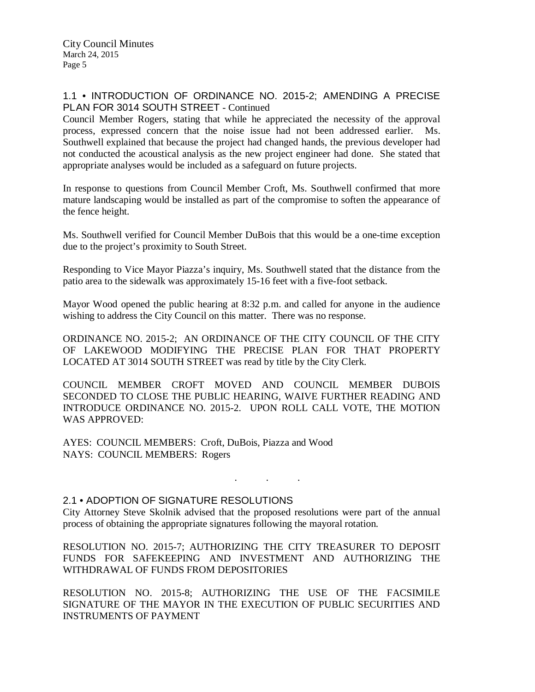# 1.1 • INTRODUCTION OF ORDINANCE NO. 2015-2; AMENDING A PRECISE PLAN FOR 3014 SOUTH STREET - Continued

Council Member Rogers, stating that while he appreciated the necessity of the approval process, expressed concern that the noise issue had not been addressed earlier. Ms. Southwell explained that because the project had changed hands, the previous developer had not conducted the acoustical analysis as the new project engineer had done. She stated that appropriate analyses would be included as a safeguard on future projects.

In response to questions from Council Member Croft, Ms. Southwell confirmed that more mature landscaping would be installed as part of the compromise to soften the appearance of the fence height.

Ms. Southwell verified for Council Member DuBois that this would be a one-time exception due to the project's proximity to South Street.

Responding to Vice Mayor Piazza's inquiry, Ms. Southwell stated that the distance from the patio area to the sidewalk was approximately 15-16 feet with a five-foot setback.

Mayor Wood opened the public hearing at 8:32 p.m. and called for anyone in the audience wishing to address the City Council on this matter. There was no response.

ORDINANCE NO. 2015-2; AN ORDINANCE OF THE CITY COUNCIL OF THE CITY OF LAKEWOOD MODIFYING THE PRECISE PLAN FOR THAT PROPERTY LOCATED AT 3014 SOUTH STREET was read by title by the City Clerk.

COUNCIL MEMBER CROFT MOVED AND COUNCIL MEMBER DUBOIS SECONDED TO CLOSE THE PUBLIC HEARING, WAIVE FURTHER READING AND INTRODUCE ORDINANCE NO. 2015-2. UPON ROLL CALL VOTE, THE MOTION WAS APPROVED:

AYES: COUNCIL MEMBERS: Croft, DuBois, Piazza and Wood NAYS: COUNCIL MEMBERS: Rogers

# 2.1 • ADOPTION OF SIGNATURE RESOLUTIONS

City Attorney Steve Skolnik advised that the proposed resolutions were part of the annual process of obtaining the appropriate signatures following the mayoral rotation.

. . .

RESOLUTION NO. 2015-7; AUTHORIZING THE CITY TREASURER TO DEPOSIT FUNDS FOR SAFEKEEPING AND INVESTMENT AND AUTHORIZING THE WITHDRAWAL OF FUNDS FROM DEPOSITORIES

RESOLUTION NO. 2015-8; AUTHORIZING THE USE OF THE FACSIMILE SIGNATURE OF THE MAYOR IN THE EXECUTION OF PUBLIC SECURITIES AND INSTRUMENTS OF PAYMENT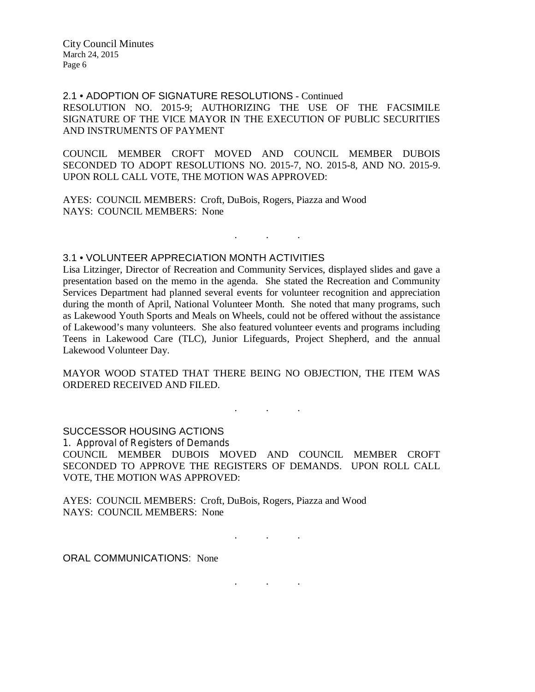2.1 • ADOPTION OF SIGNATURE RESOLUTIONS - Continued RESOLUTION NO. 2015-9; AUTHORIZING THE USE OF THE FACSIMILE SIGNATURE OF THE VICE MAYOR IN THE EXECUTION OF PUBLIC SECURITIES AND INSTRUMENTS OF PAYMENT

COUNCIL MEMBER CROFT MOVED AND COUNCIL MEMBER DUBOIS SECONDED TO ADOPT RESOLUTIONS NO. 2015-7, NO. 2015-8, AND NO. 2015-9. UPON ROLL CALL VOTE, THE MOTION WAS APPROVED:

. . .

AYES: COUNCIL MEMBERS: Croft, DuBois, Rogers, Piazza and Wood NAYS: COUNCIL MEMBERS: None

### 3.1 • VOLUNTEER APPRECIATION MONTH ACTIVITIES

Lisa Litzinger, Director of Recreation and Community Services, displayed slides and gave a presentation based on the memo in the agenda. She stated the Recreation and Community Services Department had planned several events for volunteer recognition and appreciation during the month of April, National Volunteer Month. She noted that many programs, such as Lakewood Youth Sports and Meals on Wheels, could not be offered without the assistance of Lakewood's many volunteers. She also featured volunteer events and programs including Teens in Lakewood Care (TLC), Junior Lifeguards, Project Shepherd, and the annual Lakewood Volunteer Day.

MAYOR WOOD STATED THAT THERE BEING NO OBJECTION, THE ITEM WAS ORDERED RECEIVED AND FILED.

. . .

SUCCESSOR HOUSING ACTIONS

1. Approval of Registers of Demands COUNCIL MEMBER DUBOIS MOVED AND COUNCIL MEMBER CROFT SECONDED TO APPROVE THE REGISTERS OF DEMANDS. UPON ROLL CALL VOTE, THE MOTION WAS APPROVED:

. . .

. . .

AYES: COUNCIL MEMBERS: Croft, DuBois, Rogers, Piazza and Wood NAYS: COUNCIL MEMBERS: None

ORAL COMMUNICATIONS: None